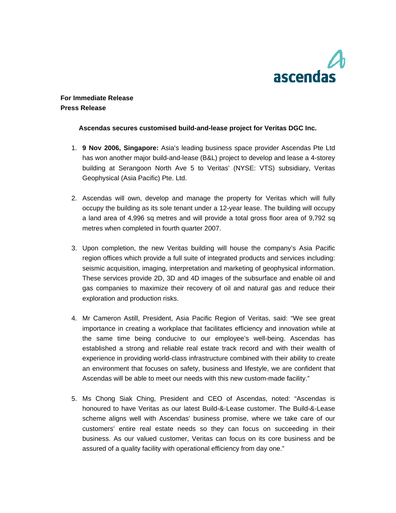

## **For Immediate Release Press Release**

## **Ascendas secures customised build-and-lease project for Veritas DGC Inc.**

- 1. **9 Nov 2006, Singapore:** Asia's leading business space provider Ascendas Pte Ltd has won another major build-and-lease (B&L) project to develop and lease a 4-storey building at Serangoon North Ave 5 to Veritas' (NYSE: VTS) subsidiary, Veritas Geophysical (Asia Pacific) Pte. Ltd.
- 2. Ascendas will own, develop and manage the property for Veritas which will fully occupy the building as its sole tenant under a 12-year lease. The building will occupy a land area of 4,996 sq metres and will provide a total gross floor area of 9,792 sq metres when completed in fourth quarter 2007.
- 3. Upon completion, the new Veritas building will house the company's Asia Pacific region offices which provide a full suite of integrated products and services including: seismic acquisition, imaging, interpretation and marketing of geophysical information. These services provide 2D, 3D and 4D images of the subsurface and enable oil and gas companies to maximize their recovery of oil and natural gas and reduce their exploration and production risks.
- 4. Mr Cameron Astill, President, Asia Pacific Region of Veritas, said: "We see great importance in creating a workplace that facilitates efficiency and innovation while at the same time being conducive to our employee's well-being. Ascendas has established a strong and reliable real estate track record and with their wealth of experience in providing world-class infrastructure combined with their ability to create an environment that focuses on safety, business and lifestyle, we are confident that Ascendas will be able to meet our needs with this new custom-made facility."
- 5. Ms Chong Siak Ching, President and CEO of Ascendas, noted: "Ascendas is honoured to have Veritas as our latest Build-&-Lease customer. The Build-&-Lease scheme aligns well with Ascendas' business promise, where we take care of our customers' entire real estate needs so they can focus on succeeding in their business. As our valued customer, Veritas can focus on its core business and be assured of a quality facility with operational efficiency from day one."